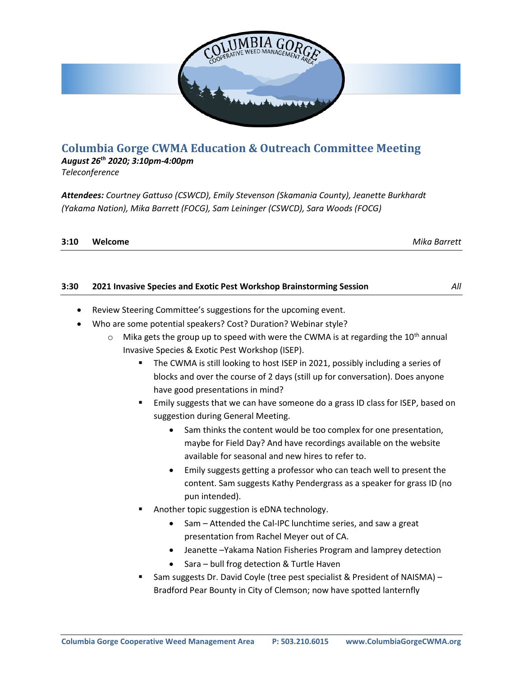

# **Columbia Gorge CWMA Education & Outreach Committee Meeting**

### *August 26th 2020; 3:10pm-4:00pm*

*Teleconference*

*Attendees: Courtney Gattuso (CSWCD), Emily Stevenson (Skamania County), Jeanette Burkhardt (Yakama Nation), Mika Barrett (FOCG), Sam Leininger (CSWCD), Sara Woods (FOCG)*

| 3:10 | Welcome | Mika Barrett |
|------|---------|--------------|
|      |         |              |

#### **3:30 2021 Invasive Species and Exotic Pest Workshop Brainstorming Session** *All*

- Review Steering Committee's suggestions for the upcoming event.
- Who are some potential speakers? Cost? Duration? Webinar style?
	- $\circ$  Mika gets the group up to speed with were the CWMA is at regarding the 10<sup>th</sup> annual Invasive Species & Exotic Pest Workshop (ISEP).
		- **The CWMA is still looking to host ISEP in 2021, possibly including a series of** blocks and over the course of 2 days (still up for conversation). Does anyone have good presentations in mind?
		- Emily suggests that we can have someone do a grass ID class for ISEP, based on suggestion during General Meeting.
			- Sam thinks the content would be too complex for one presentation, maybe for Field Day? And have recordings available on the website available for seasonal and new hires to refer to.
			- Emily suggests getting a professor who can teach well to present the content. Sam suggests Kathy Pendergrass as a speaker for grass ID (no pun intended).
		- Another topic suggestion is eDNA technology.
			- Sam Attended the Cal-IPC lunchtime series, and saw a great presentation from Rachel Meyer out of CA.
			- Jeanette –Yakama Nation Fisheries Program and lamprey detection
			- Sara bull frog detection & Turtle Haven
		- Sam suggests Dr. David Coyle (tree pest specialist & President of NAISMA) -Bradford Pear Bounty in City of Clemson; now have spotted lanternfly